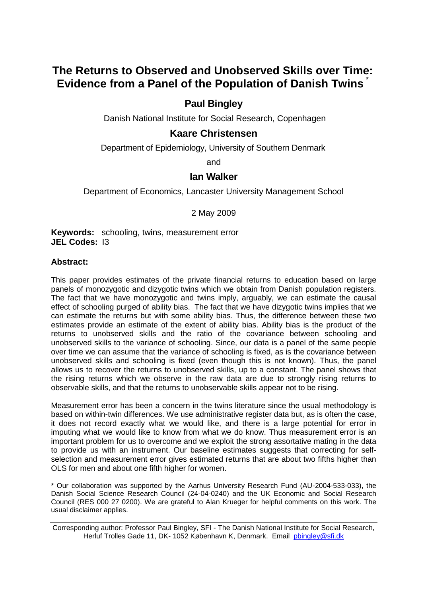# **The Returns to Observed and Unobserved Skills over Time: Evidence from a Panel of the Population of Danish Twins** \*

# **Paul Bingley**

Danish National Institute for Social Research, Copenhagen

# **Kaare Christensen**

Department of Epidemiology, University of Southern Denmark

and

## **Ian Walker**

Department of Economics, Lancaster University Management School

2 May 2009

**Keywords:** schooling, twins, measurement error **JEL Codes:** I3

## **Abstract:**

This paper provides estimates of the private financial returns to education based on large panels of monozygotic and dizygotic twins which we obtain from Danish population registers. The fact that we have monozygotic and twins imply, arguably, we can estimate the causal effect of schooling purged of ability bias. The fact that we have dizygotic twins implies that we can estimate the returns but with some ability bias. Thus, the difference between these two estimates provide an estimate of the extent of ability bias. Ability bias is the product of the returns to unobserved skills and the ratio of the covariance between schooling and unobserved skills to the variance of schooling. Since, our data is a panel of the same people over time we can assume that the variance of schooling is fixed, as is the covariance between unobserved skills and schooling is fixed (even though this is not known). Thus, the panel allows us to recover the returns to unobserved skills, up to a constant. The panel shows that the rising returns which we observe in the raw data are due to strongly rising returns to observable skills, and that the returns to unobservable skills appear not to be rising.

Measurement error has been a concern in the twins literature since the usual methodology is based on within-twin differences. We use administrative register data but, as is often the case, it does not record exactly what we would like, and there is a large potential for error in imputing what we would like to know from what we do know. Thus measurement error is an important problem for us to overcome and we exploit the strong assortative mating in the data to provide us with an instrument. Our baseline estimates suggests that correcting for selfselection and measurement error gives estimated returns that are about two fifths higher than OLS for men and about one fifth higher for women.

\* Our collaboration was supported by the Aarhus University Research Fund (AU-2004-533-033), the Danish Social Science Research Council (24-04-0240) and the UK Economic and Social Research Council (RES 000 27 0200). We are grateful to Alan Krueger for helpful comments on this work. The usual disclaimer applies.

Corresponding author: Professor Paul Bingley, SFI - The Danish National Institute for Social Research, Herluf Trolles Gade 11, DK- 1052 København K, Denmark. Email [pbingley@sfi.dk](mailto:pbingley@sfi.dk)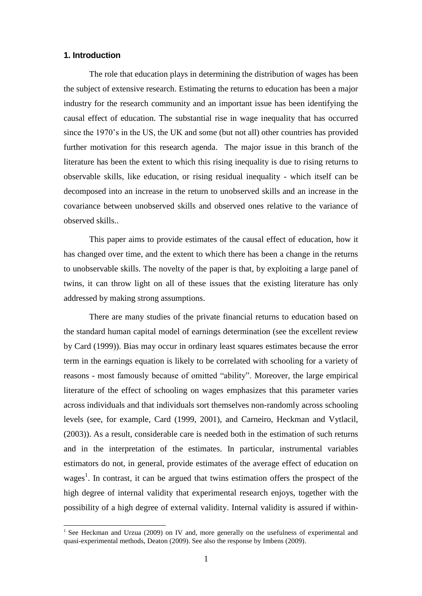## **1. Introduction**

l

The role that education plays in determining the distribution of wages has been the subject of extensive research. Estimating the returns to education has been a major industry for the research community and an important issue has been identifying the causal effect of education. The substantial rise in wage inequality that has occurred since the 1970's in the US, the UK and some (but not all) other countries has provided further motivation for this research agenda. The major issue in this branch of the literature has been the extent to which this rising inequality is due to rising returns to observable skills, like education, or rising residual inequality - which itself can be decomposed into an increase in the return to unobserved skills and an increase in the covariance between unobserved skills and observed ones relative to the variance of observed skills..

This paper aims to provide estimates of the causal effect of education, how it has changed over time, and the extent to which there has been a change in the returns to unobservable skills. The novelty of the paper is that, by exploiting a large panel of twins, it can throw light on all of these issues that the existing literature has only addressed by making strong assumptions.

There are many studies of the private financial returns to education based on the standard human capital model of earnings determination (see the excellent review by Card (1999)). Bias may occur in ordinary least squares estimates because the error term in the earnings equation is likely to be correlated with schooling for a variety of reasons - most famously because of omitted "ability". Moreover, the large empirical literature of the effect of schooling on wages emphasizes that this parameter varies across individuals and that individuals sort themselves non-randomly across schooling levels (see, for example, Card (1999, 2001), and Carneiro, Heckman and Vytlacil, (2003)). As a result, considerable care is needed both in the estimation of such returns and in the interpretation of the estimates. In particular, instrumental variables estimators do not, in general, provide estimates of the average effect of education on wages<sup>1</sup>. In contrast, it can be argued that twins estimation offers the prospect of the high degree of internal validity that experimental research enjoys, together with the possibility of a high degree of external validity. Internal validity is assured if within-

<sup>&</sup>lt;sup>1</sup> See Heckman and Urzua (2009) on IV and, more generally on the usefulness of experimental and quasi-experimental methods, Deaton (2009). See also the response by Imbens (2009).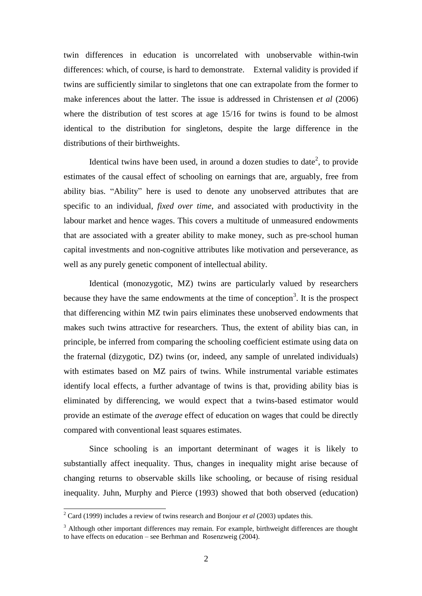twin differences in education is uncorrelated with unobservable within-twin differences: which, of course, is hard to demonstrate. External validity is provided if twins are sufficiently similar to singletons that one can extrapolate from the former to make inferences about the latter. The issue is addressed in Christensen *et al* (2006) where the distribution of test scores at age 15/16 for twins is found to be almost identical to the distribution for singletons, despite the large difference in the distributions of their birthweights.

Identical twins have been used, in around a dozen studies to date<sup>2</sup>, to provide estimates of the causal effect of schooling on earnings that are, arguably, free from ability bias. "Ability" here is used to denote any unobserved attributes that are specific to an individual, *fixed over time*, and associated with productivity in the labour market and hence wages. This covers a multitude of unmeasured endowments that are associated with a greater ability to make money, such as pre-school human capital investments and non-cognitive attributes like motivation and perseverance, as well as any purely genetic component of intellectual ability.

Identical (monozygotic, MZ) twins are particularly valued by researchers because they have the same endowments at the time of conception<sup>3</sup>. It is the prospect that differencing within MZ twin pairs eliminates these unobserved endowments that makes such twins attractive for researchers. Thus, the extent of ability bias can, in principle, be inferred from comparing the schooling coefficient estimate using data on the fraternal (dizygotic, DZ) twins (or, indeed, any sample of unrelated individuals) with estimates based on MZ pairs of twins. While instrumental variable estimates identify local effects, a further advantage of twins is that, providing ability bias is eliminated by differencing, we would expect that a twins-based estimator would provide an estimate of the *average* effect of education on wages that could be directly compared with conventional least squares estimates.

Since schooling is an important determinant of wages it is likely to substantially affect inequality. Thus, changes in inequality might arise because of changing returns to observable skills like schooling, or because of rising residual inequality. Juhn, Murphy and Pierce (1993) showed that both observed (education)

<sup>2</sup> Card (1999) includes a review of twins research and Bonjour *et al* (2003) updates this.

 $3$  Although other important differences may remain. For example, birthweight differences are thought to have effects on education – see Berhman and Rosenzweig (2004).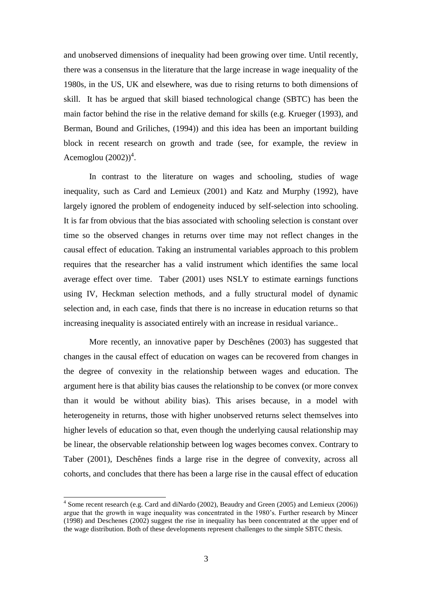and unobserved dimensions of inequality had been growing over time. Until recently, there was a consensus in the literature that the large increase in wage inequality of the 1980s, in the US, UK and elsewhere, was due to rising returns to both dimensions of skill. It has be argued that skill biased technological change (SBTC) has been the main factor behind the rise in the relative demand for skills (e.g. Krueger (1993), and Berman, Bound and Griliches, (1994)) and this idea has been an important building block in recent research on growth and trade (see, for example, the review in Acemoglou  $(2002))^4$ .

In contrast to the literature on wages and schooling, studies of wage inequality, such as Card and Lemieux (2001) and Katz and Murphy (1992), have largely ignored the problem of endogeneity induced by self-selection into schooling. It is far from obvious that the bias associated with schooling selection is constant over time so the observed changes in returns over time may not reflect changes in the causal effect of education. Taking an instrumental variables approach to this problem requires that the researcher has a valid instrument which identifies the same local average effect over time. Taber (2001) uses NSLY to estimate earnings functions using IV, Heckman selection methods, and a fully structural model of dynamic selection and, in each case, finds that there is no increase in education returns so that increasing inequality is associated entirely with an increase in residual variance..

More recently, an innovative paper by Deschênes (2003) has suggested that changes in the causal effect of education on wages can be recovered from changes in the degree of convexity in the relationship between wages and education. The argument here is that ability bias causes the relationship to be convex (or more convex than it would be without ability bias). This arises because, in a model with heterogeneity in returns, those with higher unobserved returns select themselves into higher levels of education so that, even though the underlying causal relationship may be linear, the observable relationship between log wages becomes convex. Contrary to Taber (2001), Deschênes finds a large rise in the degree of convexity, across all cohorts, and concludes that there has been a large rise in the causal effect of education

<sup>&</sup>lt;sup>4</sup> Some recent research (e.g. Card and diNardo (2002), Beaudry and Green (2005) and Lemieux (2006)) argue that the growth in wage inequality was concentrated in the 1980's. Further research by Mincer (1998) and Deschenes (2002) suggest the rise in inequality has been concentrated at the upper end of the wage distribution. Both of these developments represent challenges to the simple SBTC thesis.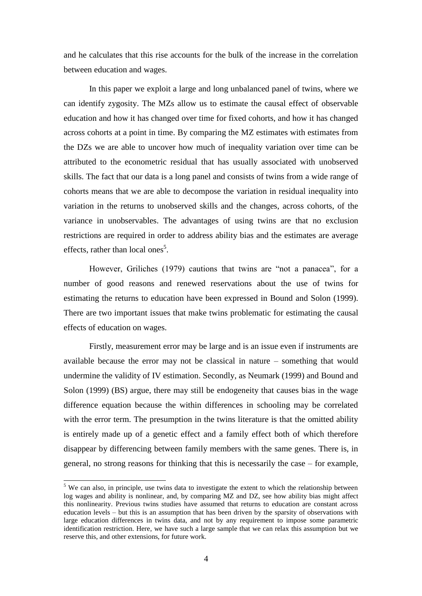and he calculates that this rise accounts for the bulk of the increase in the correlation between education and wages.

In this paper we exploit a large and long unbalanced panel of twins, where we can identify zygosity. The MZs allow us to estimate the causal effect of observable education and how it has changed over time for fixed cohorts, and how it has changed across cohorts at a point in time. By comparing the MZ estimates with estimates from the DZs we are able to uncover how much of inequality variation over time can be attributed to the econometric residual that has usually associated with unobserved skills. The fact that our data is a long panel and consists of twins from a wide range of cohorts means that we are able to decompose the variation in residual inequality into variation in the returns to unobserved skills and the changes, across cohorts, of the variance in unobservables. The advantages of using twins are that no exclusion restrictions are required in order to address ability bias and the estimates are average effects, rather than local ones<sup>5</sup>.

However, Griliches (1979) cautions that twins are "not a panacea", for a number of good reasons and renewed reservations about the use of twins for estimating the returns to education have been expressed in Bound and Solon (1999). There are two important issues that make twins problematic for estimating the causal effects of education on wages.

Firstly, measurement error may be large and is an issue even if instruments are available because the error may not be classical in nature – something that would undermine the validity of IV estimation. Secondly, as Neumark (1999) and Bound and Solon (1999) (BS) argue, there may still be endogeneity that causes bias in the wage difference equation because the within differences in schooling may be correlated with the error term. The presumption in the twins literature is that the omitted ability is entirely made up of a genetic effect and a family effect both of which therefore disappear by differencing between family members with the same genes. There is, in general, no strong reasons for thinking that this is necessarily the case – for example,

<sup>&</sup>lt;sup>5</sup> We can also, in principle, use twins data to investigate the extent to which the relationship between log wages and ability is nonlinear, and, by comparing MZ and DZ, see how ability bias might affect this nonlinearity. Previous twins studies have assumed that returns to education are constant across education levels – but this is an assumption that has been driven by the sparsity of observations with large education differences in twins data, and not by any requirement to impose some parametric identification restriction. Here, we have such a large sample that we can relax this assumption but we reserve this, and other extensions, for future work.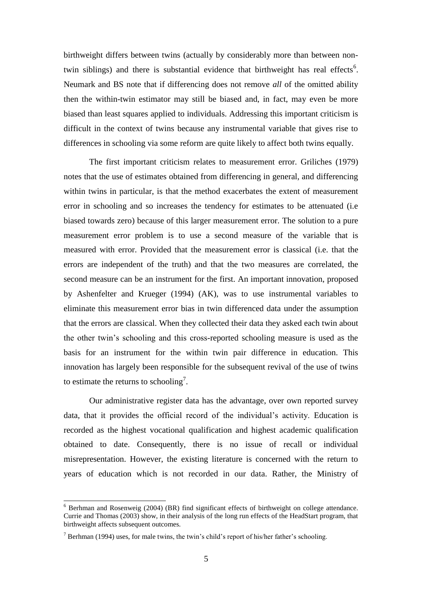birthweight differs between twins (actually by considerably more than between nontwin siblings) and there is substantial evidence that birthweight has real effects<sup>6</sup>. Neumark and BS note that if differencing does not remove *all* of the omitted ability then the within-twin estimator may still be biased and, in fact, may even be more biased than least squares applied to individuals. Addressing this important criticism is difficult in the context of twins because any instrumental variable that gives rise to differences in schooling via some reform are quite likely to affect both twins equally.

The first important criticism relates to measurement error. Griliches (1979) notes that the use of estimates obtained from differencing in general, and differencing within twins in particular, is that the method exacerbates the extent of measurement error in schooling and so increases the tendency for estimates to be attenuated (i.e biased towards zero) because of this larger measurement error. The solution to a pure measurement error problem is to use a second measure of the variable that is measured with error. Provided that the measurement error is classical (i.e. that the errors are independent of the truth) and that the two measures are correlated, the second measure can be an instrument for the first. An important innovation, proposed by Ashenfelter and Krueger (1994) (AK), was to use instrumental variables to eliminate this measurement error bias in twin differenced data under the assumption that the errors are classical. When they collected their data they asked each twin about the other twin's schooling and this cross-reported schooling measure is used as the basis for an instrument for the within twin pair difference in education. This innovation has largely been responsible for the subsequent revival of the use of twins to estimate the returns to schooling<sup>7</sup>.

Our administrative register data has the advantage, over own reported survey data, that it provides the official record of the individual's activity. Education is recorded as the highest vocational qualification and highest academic qualification obtained to date. Consequently, there is no issue of recall or individual misrepresentation. However, the existing literature is concerned with the return to years of education which is not recorded in our data. Rather, the Ministry of

 $6$  Berhman and Rosenweig (2004) (BR) find significant effects of birthweight on college attendance. Currie and Thomas (2003) show, in their analysis of the long run effects of the HeadStart program, that birthweight affects subsequent outcomes.

 $7$  Berhman (1994) uses, for male twins, the twin's child's report of his/her father's schooling.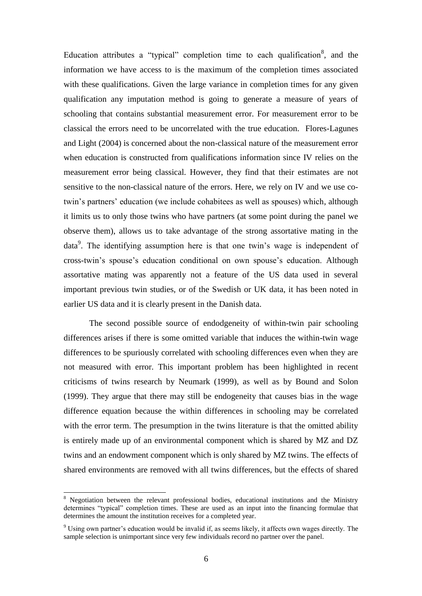Education attributes a "typical" completion time to each qualification<sup>8</sup>, and the information we have access to is the maximum of the completion times associated with these qualifications. Given the large variance in completion times for any given qualification any imputation method is going to generate a measure of years of schooling that contains substantial measurement error. For measurement error to be classical the errors need to be uncorrelated with the true education. Flores-Lagunes and Light (2004) is concerned about the non-classical nature of the measurement error when education is constructed from qualifications information since IV relies on the measurement error being classical. However, they find that their estimates are not sensitive to the non-classical nature of the errors. Here, we rely on IV and we use cotwin's partners' education (we include cohabitees as well as spouses) which, although it limits us to only those twins who have partners (at some point during the panel we observe them), allows us to take advantage of the strong assortative mating in the data<sup>9</sup>. The identifying assumption here is that one twin's wage is independent of cross-twin's spouse's education conditional on own spouse's education. Although assortative mating was apparently not a feature of the US data used in several important previous twin studies, or of the Swedish or UK data, it has been noted in earlier US data and it is clearly present in the Danish data.

The second possible source of endodgeneity of within-twin pair schooling differences arises if there is some omitted variable that induces the within-twin wage differences to be spuriously correlated with schooling differences even when they are not measured with error. This important problem has been highlighted in recent criticisms of twins research by Neumark (1999), as well as by Bound and Solon (1999). They argue that there may still be endogeneity that causes bias in the wage difference equation because the within differences in schooling may be correlated with the error term. The presumption in the twins literature is that the omitted ability is entirely made up of an environmental component which is shared by MZ and DZ twins and an endowment component which is only shared by MZ twins. The effects of shared environments are removed with all twins differences, but the effects of shared

<sup>&</sup>lt;sup>8</sup> Negotiation between the relevant professional bodies, educational institutions and the Ministry determines "typical" completion times. These are used as an input into the financing formulae that determines the amount the institution receives for a completed year.

<sup>9</sup> Using own partner's education would be invalid if, as seems likely, it affects own wages directly. The sample selection is unimportant since very few individuals record no partner over the panel.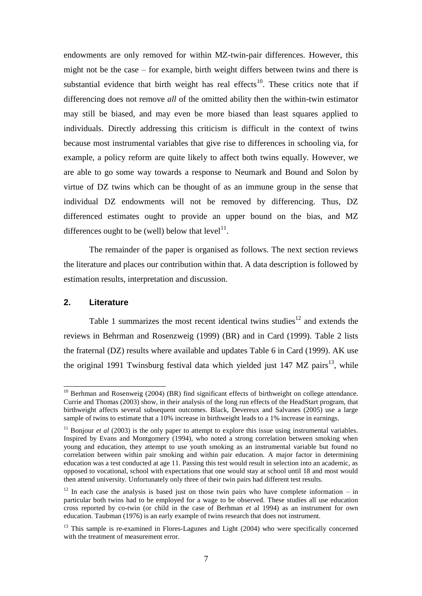endowments are only removed for within MZ-twin-pair differences. However, this might not be the case – for example, birth weight differs between twins and there is substantial evidence that birth weight has real effects<sup>10</sup>. These critics note that if differencing does not remove *all* of the omitted ability then the within-twin estimator may still be biased, and may even be more biased than least squares applied to individuals. Directly addressing this criticism is difficult in the context of twins because most instrumental variables that give rise to differences in schooling via, for example, a policy reform are quite likely to affect both twins equally. However, we are able to go some way towards a response to Neumark and Bound and Solon by virtue of DZ twins which can be thought of as an immune group in the sense that individual DZ endowments will not be removed by differencing. Thus, DZ differenced estimates ought to provide an upper bound on the bias, and MZ differences ought to be (well) below that  $level<sup>11</sup>$ .

The remainder of the paper is organised as follows. The next section reviews the literature and places our contribution within that. A data description is followed by estimation results, interpretation and discussion.

#### **2. Literature**

l

[Table 1](http://www.sciencedirect.com/science/article/B6VB9-3W06TFJ-3/2/f957cad57dede405e983952929ac12e5#tbl1#tbl1) summarizes the most recent identical twins studies<sup>12</sup> and extends the reviews in Behrman and Rosenzweig (1999) (BR) and in Card (1999). Table 2 lists the fraternal (DZ) results where available and updates Table 6 in Card (1999). AK use the original 1991 Twinsburg festival data which yielded just 147 MZ pairs<sup>13</sup>, while

 $10$  Berhman and Rosenweig (2004) (BR) find significant effects of birthweight on college attendance. Currie and Thomas (2003) show, in their analysis of the long run effects of the HeadStart program, that birthweight affects several subsequent outcomes. Black, Devereux and Salvanes (2005) use a large sample of twins to estimate that a 10% increase in birthweight leads to a 1% increase in earnings.

<sup>&</sup>lt;sup>11</sup> Bonjour *et al* (2003) is the only paper to attempt to explore this issue using instrumental variables. Inspired by Evans and Montgomery (1994), who noted a strong correlation between smoking when young and education, they attempt to use youth smoking as an instrumental variable but found no correlation between within pair smoking and within pair education. A major factor in determining education was a test conducted at age 11. Passing this test would result in selection into an academic, as opposed to vocational, school with expectations that one would stay at school until 18 and most would then attend university. Unfortunately only three of their twin pairs had different test results.

 $12$  In each case the analysis is based just on those twin pairs who have complete information – in particular both twins had to be employed for a wage to be observed. These studies all use education cross reported by co-twin (or child in the case of Berhman *et* al 1994) as an instrument for own education. Taubman (1976) is an early example of twins research that does not instrument.

<sup>&</sup>lt;sup>13</sup> This sample is re-examined in Flores-Lagunes and Light (2004) who were specifically concerned with the treatment of measurement error.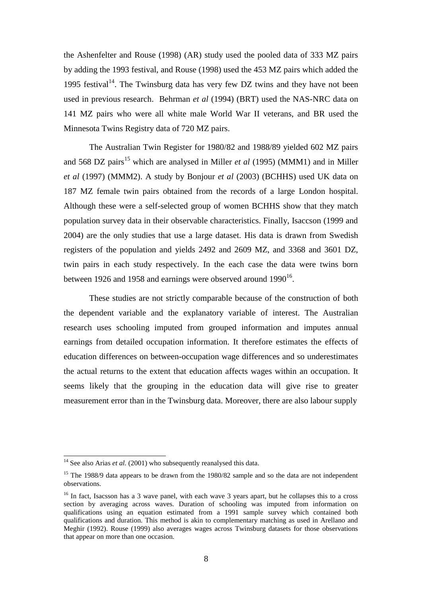the Ashenfelter and Rouse (1998) (AR) study used the pooled data of 333 MZ pairs by adding the 1993 festival, and Rouse (1998) used the 453 MZ pairs which added the 1995 festival<sup>14</sup>. The Twinsburg data has very few DZ twins and they have not been used in previous research. Behrman *et al* (1994) (BRT) used the NAS-NRC data on 141 MZ pairs who were all white male World War II veterans, and BR used the Minnesota Twins Registry data of 720 MZ pairs.

The Australian Twin Register for 1980/82 and 1988/89 yielded 602 MZ pairs and 568 DZ pairs<sup>15</sup> which are analysed in Miller *et al* (1995) (MMM1) and in Miller *et al* (1997) (MMM2). A study by Bonjour *et al* (2003) (BCHHS) used UK data on 187 MZ female twin pairs obtained from the records of a large London hospital. Although these were a self-selected group of women BCHHS show that they match population survey data in their observable characteristics. Finally, Isaccson (1999 and 2004) are the only studies that use a large dataset. His data is drawn from Swedish registers of the population and yields 2492 and 2609 MZ, and 3368 and 3601 DZ, twin pairs in each study respectively. In the each case the data were twins born between 1926 and 1958 and earnings were observed around 1990 $^{16}$ .

These studies are not strictly comparable because of the construction of both the dependent variable and the explanatory variable of interest. The Australian research uses schooling imputed from grouped information and imputes annual earnings from detailed occupation information. It therefore estimates the effects of education differences on between-occupation wage differences and so underestimates the actual returns to the extent that education affects wages within an occupation. It seems likely that the grouping in the education data will give rise to greater measurement error than in the Twinsburg data. Moreover, there are also labour supply

 $14$  See also Arias *et al.* (2001) who subsequently reanalysed this data.

<sup>&</sup>lt;sup>15</sup> The 1988/9 data appears to be drawn from the 1980/82 sample and so the data are not independent observations.

<sup>&</sup>lt;sup>16</sup> In fact, Isacsson has a 3 wave panel, with each wave 3 years apart, but he collapses this to a cross section by averaging across waves. Duration of schooling was imputed from information on qualifications using an equation estimated from a 1991 sample survey which contained both qualifications and duration. This method is akin to complementary matching as used in Arellano and Meghir (1992). Rouse (1999) also averages wages across Twinsburg datasets for those observations that appear on more than one occasion.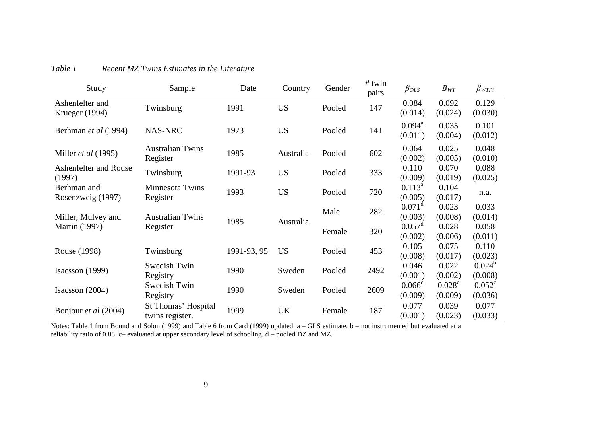| Study                             | Sample                                 | Date        | Country   | Gender | # twin<br>pairs | $\beta_{OLS}$                 | $B_{WT}$                   | $\beta_{WTIV}$             |
|-----------------------------------|----------------------------------------|-------------|-----------|--------|-----------------|-------------------------------|----------------------------|----------------------------|
| Ashenfelter and<br>Krueger (1994) | Twinsburg                              | 1991        | <b>US</b> | Pooled | 147             | 0.084<br>(0.014)              | 0.092<br>(0.024)           | 0.129<br>(0.030)           |
| Berhman et al (1994)              | NAS-NRC                                | 1973        | <b>US</b> | Pooled | 141             | $0.094^{\text{a}}$<br>(0.011) | 0.035<br>(0.004)           | 0.101<br>(0.012)           |
| Miller et al (1995)               | <b>Australian Twins</b><br>Register    | 1985        | Australia | Pooled | 602             | 0.064<br>(0.002)              | 0.025<br>(0.005)           | 0.048<br>(0.010)           |
| Ashenfelter and Rouse<br>(1997)   | Twinsburg                              | 1991-93     | <b>US</b> | Pooled | 333             | 0.110<br>(0.009)              | 0.070<br>(0.019)           | 0.088<br>(0.025)           |
| Berhman and<br>Rosenzweig (1997)  | Minnesota Twins<br>Register            | 1993        | <b>US</b> | Pooled | 720             | $0.113^{a}$<br>(0.005)        | 0.104<br>(0.017)           | n.a.                       |
| Miller, Mulvey and                | <b>Australian Twins</b>                | 1985        | Australia | Male   | 282             | $0.071^d$<br>(0.003)          | 0.023<br>(0.008)           | 0.033<br>(0.014)           |
| <b>Martin</b> (1997)              | Register                               |             |           | Female | 320             | $0.057^{\rm d}$<br>(0.002)    | 0.028<br>(0.006)           | 0.058<br>(0.011)           |
| Rouse (1998)                      | Twinsburg                              | 1991-93, 95 | <b>US</b> | Pooled | 453             | 0.105<br>(0.008)              | 0.075<br>(0.017)           | 0.110<br>(0.023)           |
| Isacsson $(1999)$                 | Swedish Twin<br>Registry               | 1990        | Sweden    | Pooled | 2492            | 0.046<br>(0.001)              | 0.022<br>(0.002)           | $0.024^{b}$<br>(0.008)     |
| Isacsson $(2004)$                 | Swedish Twin<br>Registry               | 1990        | Sweden    | Pooled | 2609            | 0.066 <sup>c</sup><br>(0.009) | $0.028^{\circ}$<br>(0.009) | $0.052^{\circ}$<br>(0.036) |
| Bonjour et al (2004)              | St Thomas' Hospital<br>twins register. | 1999        | <b>UK</b> | Female | 187             | 0.077<br>(0.001)              | 0.039<br>(0.023)           | 0.077<br>(0.033)           |

## *Table 1 Recent MZ Twins Estimates in the Literature*

Notes: Table 1 from Bound and Solon (1999) and Table 6 from Card (1999) updated. a - GLS estimate. b - not instrumented but evaluated at a reliability ratio of 0.88. c– evaluated at upper secondary level of schooling. d – pooled DZ and MZ.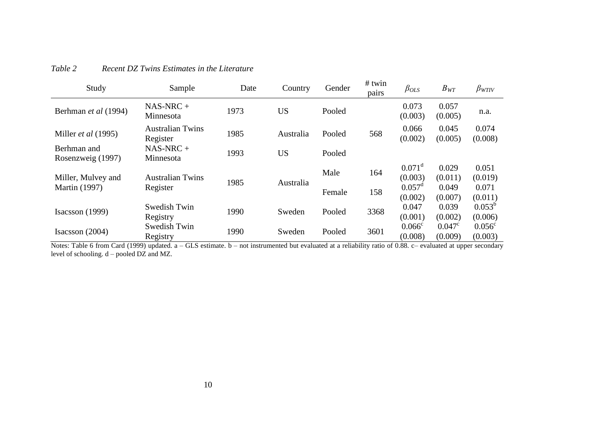| Study                            | Sample                              | Date | Country   | Gender | $#$ twin<br>pairs | $\beta_{OLS}$                 | $B_{WT}$                   | $\beta_{WTIV}$             |
|----------------------------------|-------------------------------------|------|-----------|--------|-------------------|-------------------------------|----------------------------|----------------------------|
| Berhman et al (1994)             | $NAS-NRC +$<br>Minnesota            | 1973 | <b>US</b> | Pooled |                   | 0.073<br>(0.003)              | 0.057<br>(0.005)           | n.a.                       |
| Miller et al (1995)              | <b>Australian Twins</b><br>Register | 1985 | Australia | Pooled | 568               | 0.066<br>(0.002)              | 0.045<br>(0.005)           | 0.074<br>(0.008)           |
| Berhman and<br>Rosenzweig (1997) | $NAS-NRC +$<br>Minnesota            | 1993 | <b>US</b> | Pooled |                   |                               |                            |                            |
| Miller, Mulvey and               | <b>Australian Twins</b>             | 1985 | Australia | Male   | 164               | $0.071^{\rm d}$<br>(0.003)    | 0.029<br>(0.011)           | 0.051<br>(0.019)           |
| <b>Martin</b> (1997)             | Register                            |      |           | Female | 158               | $0.057^{\text{d}}$<br>(0.002) | 0.049<br>(0.007)           | 0.071<br>(0.011)           |
| Isacsson $(1999)$                | Swedish Twin<br>Registry            | 1990 | Sweden    | Pooled | 3368              | 0.047<br>(0.001)              | 0.039<br>(0.002)           | $0.053^{b}$<br>(0.006)     |
| Isacsson $(2004)$                | Swedish Twin<br>Registry            | 1990 | Sweden    | Pooled | 3601              | $0.066^{\circ}$<br>(0.008)    | $0.047^{\circ}$<br>(0.009) | $0.056^{\circ}$<br>(0.003) |

## *Table 2 Recent DZ Twins Estimates in the Literature*

Notes: Table 6 from Card (1999) updated. a – GLS estimate. b – not instrumented but evaluated at a reliability ratio of 0.88. c– evaluated at upper secondary level of schooling. d – pooled DZ and MZ.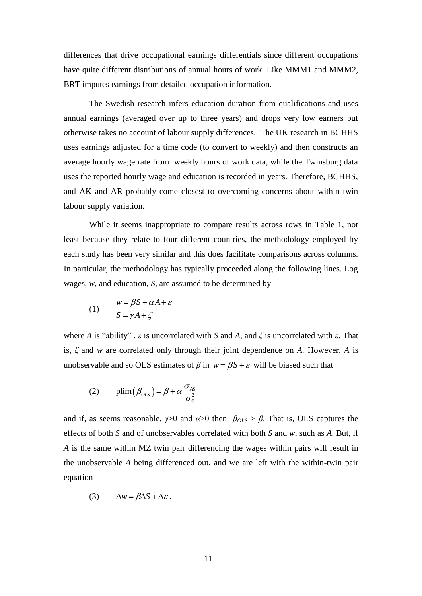differences that drive occupational earnings differentials since different occupations have quite different distributions of annual hours of work. Like MMM1 and MMM2, BRT imputes earnings from detailed occupation information.

The Swedish research infers education duration from qualifications and uses annual earnings (averaged over up to three years) and drops very low earners but otherwise takes no account of labour supply differences. The UK research in BCHHS uses earnings adjusted for a time code (to convert to weekly) and then constructs an average hourly wage rate from weekly hours of work data, while the Twinsburg data uses the reported hourly wage and education is recorded in years. Therefore, BCHHS, and AK and AR probably come closest to overcoming concerns about within twin labour supply variation.

While it seems inappropriate to compare results across rows in Table 1, not least because they relate to four different countries, the methodology employed by each study has been very similar and this does facilitate comparisons across columns. In particular, the methodology has typically proceeded along the following lines. Log wages, *w*, and education, *S*, are assumed to be determined by

(1) 
$$
w = \beta S + \alpha A + \varepsilon
$$

$$
S = \gamma A + \zeta
$$

where *A* is "ability",  $\varepsilon$  is uncorrelated with *S* and *A*, and  $\zeta$  is uncorrelated with  $\varepsilon$ . That is, *δ* and *w* are correlated only through their joint dependence on *A.* However, *A* is unobservable and so OLS estimates of  $\beta$  in  $w = \beta S + \varepsilon$  will be biased such that

(2) 
$$
\text{plim}(\beta_{OLS}) = \beta + \alpha \frac{\sigma_{AS}}{\sigma_S^2}
$$

and if, as seems reasonable,  $\gamma > 0$  and  $\alpha > 0$  then  $\beta_{OLS} > \beta$ . That is, OLS captures the effects of both *S* and of unobservables correlated with both *S* and *w*, such as *A*. But, if *A* is the same within MZ twin pair differencing the wages within pairs will result in the unobservable *A* being differenced out, and we are left with the within-twin pair equation

$$
(3) \qquad \Delta w = \beta \Delta S + \Delta \varepsilon \, .
$$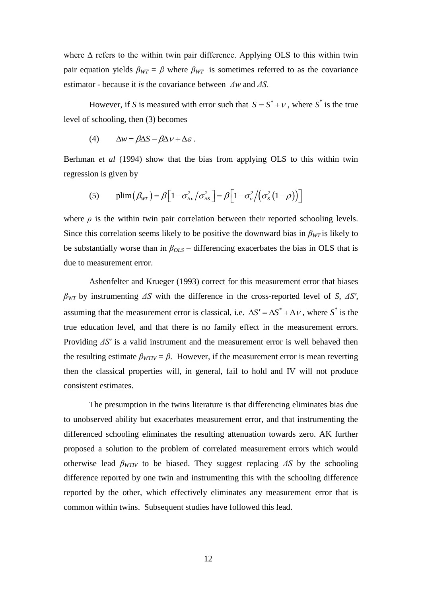where  $\Delta$  refers to the within twin pair difference. Applying OLS to this within twin pair equation yields  $\beta_{WT} = \beta$  where  $\beta_{WT}$  is sometimes referred to as the covariance estimator - because it *is* the covariance between *Δw* and *ΔS.* 

However, if *S* is measured with error such that  $S = S^* + v$ , where  $S^*$  is the true level of schooling, then (3) becomes

(4) 
$$
\Delta w = \beta \Delta S - \beta \Delta V + \Delta \varepsilon.
$$

Berhman *et al* (1994) show that the bias from applying OLS to this within twin regression is given by

ion is given by  
\n
$$
\text{(5)} \qquad \text{plim}\left(\beta_{\text{WT}}\right) = \beta \Big[1 - \sigma_{\text{av}}^2 / \sigma_{\text{as}}^2\Big] = \beta \Big[1 - \sigma_{\text{v}}^2 / \big(\sigma_{\text{S}}^2 \big(1 - \rho\big)\big)\Big]
$$

where  $\rho$  is the within twin pair correlation between their reported schooling levels. Since this correlation seems likely to be positive the downward bias in  $\beta_{WT}$  is likely to be substantially worse than in *βOLS* – differencing exacerbates the bias in OLS that is due to measurement error.

Ashenfelter and Krueger (1993) correct for this measurement error that biases *βWT* by instrumenting *ΔS* with the difference in the cross-reported level of *S*, *ΔS′*, assuming that the measurement error is classical, i.e.  $\Delta S' = \Delta S^* + \Delta V$ , where  $S^*$  is the true education level, and that there is no family effect in the measurement errors. Providing *ΔS′* is a valid instrument and the measurement error is well behaved then the resulting estimate  $\beta_{WTIV} = \beta$ . However, if the measurement error is mean reverting then the classical properties will, in general, fail to hold and IV will not produce consistent estimates.

The presumption in the twins literature is that differencing eliminates bias due to unobserved ability but exacerbates measurement error, and that instrumenting the differenced schooling eliminates the resulting attenuation towards zero. AK further proposed a solution to the problem of correlated measurement errors which would otherwise lead  $\beta_{WTIV}$  to be biased. They suggest replacing  $\Delta S$  by the schooling difference reported by one twin and instrumenting this with the schooling difference reported by the other, which effectively eliminates any measurement error that is common within twins. Subsequent studies have followed this lead.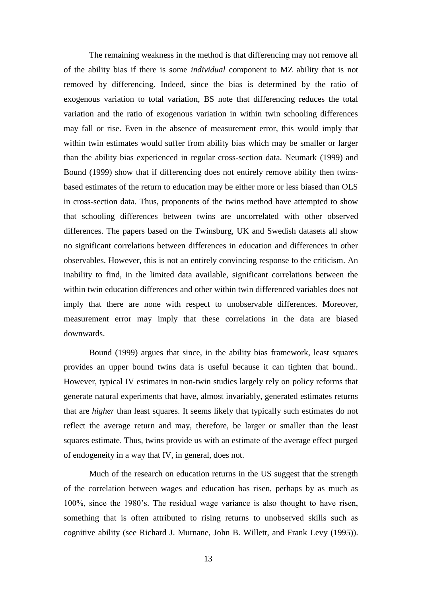The remaining weakness in the method is that differencing may not remove all of the ability bias if there is some *individual* component to MZ ability that is not removed by differencing. Indeed, since the bias is determined by the ratio of exogenous variation to total variation, BS note that differencing reduces the total variation and the ratio of exogenous variation in within twin schooling differences may fall or rise. Even in the absence of measurement error, this would imply that within twin estimates would suffer from ability bias which may be smaller or larger than the ability bias experienced in regular cross-section data. Neumark (1999) and Bound (1999) show that if differencing does not entirely remove ability then twinsbased estimates of the return to education may be either more or less biased than OLS in cross-section data. Thus, proponents of the twins method have attempted to show that schooling differences between twins are uncorrelated with other observed differences. The papers based on the Twinsburg, UK and Swedish datasets all show no significant correlations between differences in education and differences in other observables. However, this is not an entirely convincing response to the criticism. An inability to find, in the limited data available, significant correlations between the within twin education differences and other within twin differenced variables does not imply that there are none with respect to unobservable differences. Moreover, measurement error may imply that these correlations in the data are biased downwards.

Bound (1999) argues that since, in the ability bias framework, least squares provides an upper bound twins data is useful because it can tighten that bound.. However, typical IV estimates in non-twin studies largely rely on policy reforms that generate natural experiments that have, almost invariably, generated estimates returns that are *higher* than least squares. It seems likely that typically such estimates do not reflect the average return and may, therefore, be larger or smaller than the least squares estimate. Thus, twins provide us with an estimate of the average effect purged of endogeneity in a way that IV, in general, does not.

Much of the research on education returns in the US suggest that the strength of the correlation between wages and education has risen, perhaps by as much as 100%, since the 1980's. The residual wage variance is also thought to have risen, something that is often attributed to rising returns to unobserved skills such as cognitive ability (see Richard J. Murnane, John B. Willett, and Frank Levy (1995)).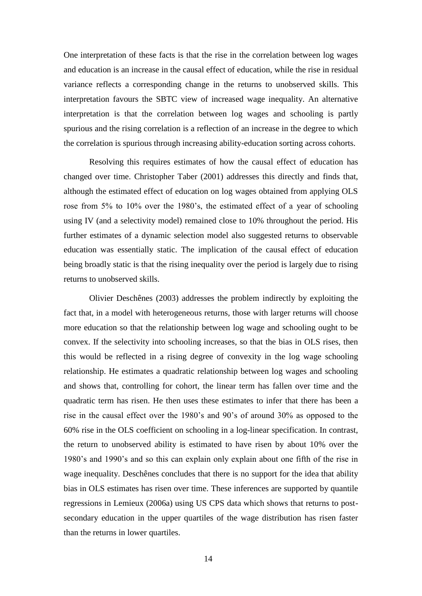One interpretation of these facts is that the rise in the correlation between log wages and education is an increase in the causal effect of education, while the rise in residual variance reflects a corresponding change in the returns to unobserved skills. This interpretation favours the SBTC view of increased wage inequality. An alternative interpretation is that the correlation between log wages and schooling is partly spurious and the rising correlation is a reflection of an increase in the degree to which the correlation is spurious through increasing ability-education sorting across cohorts.

Resolving this requires estimates of how the causal effect of education has changed over time. Christopher Taber (2001) addresses this directly and finds that, although the estimated effect of education on log wages obtained from applying OLS rose from 5% to 10% over the 1980's, the estimated effect of a year of schooling using IV (and a selectivity model) remained close to 10% throughout the period. His further estimates of a dynamic selection model also suggested returns to observable education was essentially static. The implication of the causal effect of education being broadly static is that the rising inequality over the period is largely due to rising returns to unobserved skills.

Olivier Deschênes (2003) addresses the problem indirectly by exploiting the fact that, in a model with heterogeneous returns, those with larger returns will choose more education so that the relationship between log wage and schooling ought to be convex. If the selectivity into schooling increases, so that the bias in OLS rises, then this would be reflected in a rising degree of convexity in the log wage schooling relationship. He estimates a quadratic relationship between log wages and schooling and shows that, controlling for cohort, the linear term has fallen over time and the quadratic term has risen. He then uses these estimates to infer that there has been a rise in the causal effect over the 1980's and 90's of around 30% as opposed to the 60% rise in the OLS coefficient on schooling in a log-linear specification. In contrast, the return to unobserved ability is estimated to have risen by about 10% over the 1980's and 1990's and so this can explain only explain about one fifth of the rise in wage inequality. Deschênes concludes that there is no support for the idea that ability bias in OLS estimates has risen over time. These inferences are supported by quantile regressions in Lemieux (2006a) using US CPS data which shows that returns to postsecondary education in the upper quartiles of the wage distribution has risen faster than the returns in lower quartiles.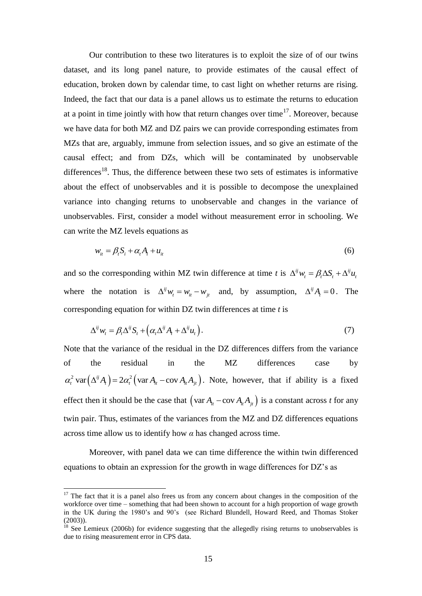Our contribution to these two literatures is to exploit the size of of our twins dataset, and its long panel nature, to provide estimates of the causal effect of education, broken down by calendar time, to cast light on whether returns are rising. Indeed, the fact that our data is a panel allows us to estimate the returns to education at a point in time jointly with how that return changes over time<sup>17</sup>. Moreover, because we have data for both MZ and DZ pairs we can provide corresponding estimates from MZs that are, arguably, immune from selection issues, and so give an estimate of the causal effect; and from DZs, which will be contaminated by unobservable differences<sup>18</sup>. Thus, the difference between these two sets of estimates is informative about the effect of unobservables and it is possible to decompose the unexplained variance into changing returns to unobservable and changes in the variance of unobservables. First, consider a model without measurement error in schooling. We can write the MZ levels equations as

$$
w_{it} = \beta_t S_i + \alpha_t A_i + u_{it} \tag{6}
$$

and so the corresponding within MZ twin difference at time *t* is  $\Delta^{ij} w_i = \beta_i \Delta S_i + \Delta^{ij} u_i$ where the notation is  $\Delta^{ij} w_i = w_{it} - w_{jt}$  and, by assumption,  $\Delta^{ij} A_i = 0$ . The corresponding equation for within DZ twin differences at time *t* is

$$
\Delta^{ij} w_t = \beta_t \Delta^{ij} S_t + \left( \alpha_t \Delta^{ij} A_t + \Delta^{ij} u_t \right). \tag{7}
$$

Note that the variance of the residual in the DZ differences differs from the variance of the residual in the MZ differences case by  $\alpha_i^2 \text{ var}(\Delta^{ij} A_i) = 2\alpha_i^2 (\text{var } A_{it} - \text{cov } A_{it} A_{jt})$ . Note, however, that if ability is a fixed effect then it should be the case that  $(\text{var } A_{i} - \text{cov } A_{i} A_{j} )$  is a constant across *t* for any twin pair. Thus, estimates of the variances from the MZ and DZ differences equations across time allow us to identify how  $\alpha$  has changed across time.

Moreover, with panel data we can time difference the within twin differenced equations to obtain an expression for the growth in wage differences for DZ's as

 $17$  The fact that it is a panel also frees us from any concern about changes in the composition of the workforce over time – something that had been shown to account for a high proportion of wage growth in the UK during the 1980's and 90's (see Richard Blundell, Howard Reed, and Thomas Stoker (2003)).

 $18$  See Lemieux (2006b) for evidence suggesting that the allegedly rising returns to unobservables is due to rising measurement error in CPS data.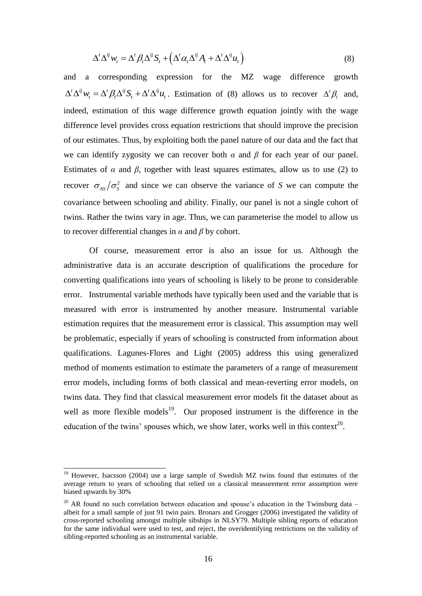$$
\Delta^t \Delta^{ij} w_t = \Delta^t \beta_t \Delta^{ij} S_t + \left( \Delta^t \alpha_t \Delta^{ij} A_t + \Delta^t \Delta^{ij} u_t \right)
$$
(8)

and a corresponding expression for the MZ wage difference growth  $\Delta^t \Delta^{ij} w_i = \Delta^t \beta_t \Delta^{ij} S_t + \Delta^t \Delta^{ij} u_t$ . Estimation of (8) allows us to recover  $\Delta^t \beta_t$  and, indeed, estimation of this wage difference growth equation jointly with the wage difference level provides cross equation restrictions that should improve the precision of our estimates. Thus, by exploiting both the panel nature of our data and the fact that we can identify zygosity we can recover both *α* and *β* for each year of our panel. Estimates of  $\alpha$  and  $\beta$ , together with least squares estimates, allow us to use (2) to recover  $\sigma_{AS}/\sigma_{S}^2$  and since we can observe the variance of *S* we can compute the covariance between schooling and ability. Finally, our panel is not a single cohort of twins. Rather the twins vary in age. Thus, we can parameterise the model to allow us to recover differential changes in *α* and *β* by cohort.

 $(\Delta^t \alpha_i \Delta^u A_i + \Delta^t \Delta^v u_i)$ <br>ression for the M<br>Estimation of (8) a<br>ge difference growth<br>equation restrictions to<br>iting both the panel n<br>can recover both  $\alpha$  ar<br>r with least squares e<br>e can observe the var<br>and ability. Fin Of course, measurement error is also an issue for us. Although the administrative data is an accurate description of qualifications the procedure for converting qualifications into years of schooling is likely to be prone to considerable error. Instrumental variable methods have typically been used and the variable that is measured with error is instrumented by another measure. Instrumental variable estimation requires that the measurement error is classical. This assumption may well be problematic, especially if years of schooling is constructed from information about qualifications. Lagunes-Flores and Light (2005) address this using generalized method of moments estimation to estimate the parameters of a range of measurement error models, including forms of both classical and mean-reverting error models, on twins data. They find that classical measurement error models fit the dataset about as well as more flexible models<sup>19</sup>. Our proposed instrument is the difference in the education of the twins' spouses which, we show later, works well in this context<sup>20</sup>.

 $19$  However, Isacsson (2004) use a large sample of Swedish MZ twins found that estimates of the average return to years of schooling that relied on a classical measurement error assumption were biased upwards by 30%

<sup>&</sup>lt;sup>20</sup> AR found no such correlation between education and spouse's education in the Twinsburg data – albeit for a small sample of just 91 twin pairs. Bronars and Grogger (2006) investigated the validity of cross-reported schooling amongst multiple sibships in NLSY79. Multiple sibling reports of education for the same individual were used to test, and reject, the overidentifying restrictions on the validity of sibling-reported schooling as an instrumental variable.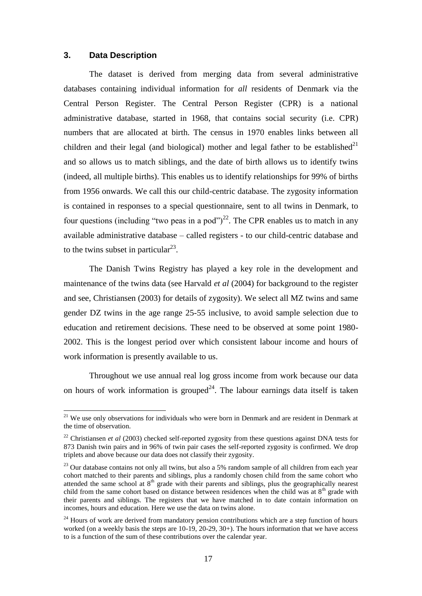### **3. Data Description**

l

The dataset is derived from merging data from several administrative databases containing individual information for *all* residents of Denmark via the Central Person Register. The Central Person Register (CPR) is a national administrative database, started in 1968, that contains social security (i.e. CPR) numbers that are allocated at birth. The census in 1970 enables links between all children and their legal (and biological) mother and legal father to be established $^{21}$ and so allows us to match siblings, and the date of birth allows us to identify twins (indeed, all multiple births). This enables us to identify relationships for 99% of births from 1956 onwards. We call this our child-centric database. The zygosity information is contained in responses to a special questionnaire, sent to all twins in Denmark, to four questions (including "two peas in a pod")<sup>22</sup>. The CPR enables us to match in any available administrative database – called registers - to our child-centric database and to the twins subset in particular $^{23}$ .

The Danish Twins Registry has played a key role in the development and maintenance of the twins data (see Harvald *et al* (2004) for background to the register and see, Christiansen (2003) for details of zygosity). We select all MZ twins and same gender DZ twins in the age range 25-55 inclusive, to avoid sample selection due to education and retirement decisions. These need to be observed at some point 1980- 2002. This is the longest period over which consistent labour income and hours of work information is presently available to us.

Throughout we use annual real log gross income from work because our data on hours of work information is grouped<sup>24</sup>. The labour earnings data itself is taken

 $21$  We use only observations for individuals who were born in Denmark and are resident in Denmark at the time of observation.

<sup>22</sup> Christiansen *et al* (2003) checked self-reported zygosity from these questions against DNA tests for 873 Danish twin pairs and in 96% of twin pair cases the self-reported zygosity is confirmed. We drop triplets and above because our data does not classify their zygosity.

<sup>&</sup>lt;sup>23</sup> Our database contains not only all twins, but also a 5% random sample of all children from each year cohort matched to their parents and siblings, plus a randomly chosen child from the same cohort who attended the same school at  $8<sup>th</sup>$  grade with their parents and siblings, plus the geographically nearest child from the same cohort based on distance between residences when the child was at  $8<sup>th</sup>$  grade with their parents and siblings. The registers that we have matched in to date contain information on incomes, hours and education. Here we use the data on twins alone.

<sup>&</sup>lt;sup>24</sup> Hours of work are derived from mandatory pension contributions which are a step function of hours worked (on a weekly basis the steps are 10-19, 20-29, 30+). The hours information that we have access to is a function of the sum of these contributions over the calendar year.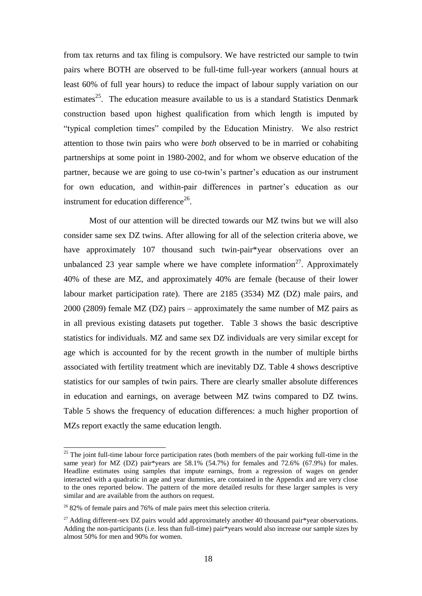from tax returns and tax filing is compulsory. We have restricted our sample to twin pairs where BOTH are observed to be full-time full-year workers (annual hours at least 60% of full year hours) to reduce the impact of labour supply variation on our estimates<sup>25</sup>. The education measure available to us is a standard Statistics Denmark construction based upon highest qualification from which length is imputed by "typical completion times" compiled by the Education Ministry. We also restrict attention to those twin pairs who were *both* observed to be in married or cohabiting partnerships at some point in 1980-2002, and for whom we observe education of the partner, because we are going to use co-twin's partner's education as our instrument for own education, and within-pair differences in partner's education as our instrument for education difference $26$ .

Most of our attention will be directed towards our MZ twins but we will also consider same sex DZ twins. After allowing for all of the selection criteria above, we have approximately 107 thousand such twin-pair\*year observations over an unbalanced 23 year sample where we have complete information<sup>27</sup>. Approximately 40% of these are MZ, and approximately 40% are female (because of their lower labour market participation rate). There are 2185 (3534) MZ (DZ) male pairs, and 2000 (2809) female MZ (DZ) pairs – approximately the same number of MZ pairs as in all previous existing datasets put together. Table 3 shows the basic descriptive statistics for individuals. MZ and same sex DZ individuals are very similar except for age which is accounted for by the recent growth in the number of multiple births associated with fertility treatment which are inevitably DZ. Table 4 shows descriptive statistics for our samples of twin pairs. There are clearly smaller absolute differences in education and earnings, on average between MZ twins compared to DZ twins. Table 5 shows the frequency of education differences: a much higher proportion of MZs report exactly the same education length.

 $25$  The joint full-time labour force participation rates (both members of the pair working full-time in the same year) for MZ (DZ) pair\*years are  $58.1\%$  (54.7%) for females and 72.6% (67.9%) for males. Headline estimates using samples that impute earnings, from a regression of wages on gender interacted with a quadratic in age and year dummies, are contained in the Appendix and are very close to the ones reported below. The pattern of the more detailed results for these larger samples is very similar and are available from the authors on request.

 $2682\%$  of female pairs and 76% of male pairs meet this selection criteria.

<sup>&</sup>lt;sup>27</sup> Adding different-sex DZ pairs would add approximately another 40 thousand pair\*year observations. Adding the non-participants (i.e. less than full-time) pair\*years would also increase our sample sizes by almost 50% for men and 90% for women.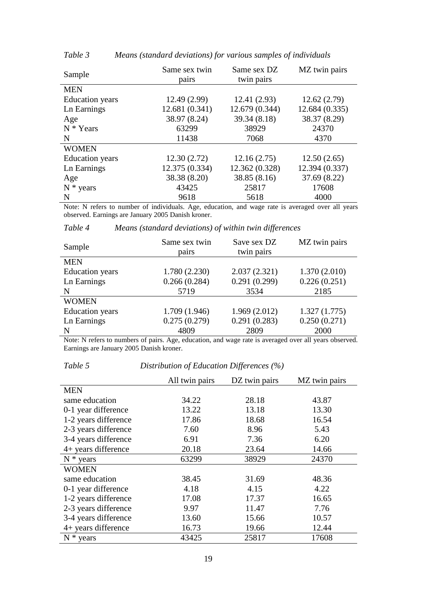| Sample                 | Same sex twin<br>pairs | Same sex DZ<br>twin pairs | MZ twin pairs  |
|------------------------|------------------------|---------------------------|----------------|
| <b>MEN</b>             |                        |                           |                |
| <b>Education</b> years | 12.49(2.99)            | 12.41(2.93)               | 12.62(2.79)    |
| Ln Earnings            | 12.681 (0.341)         | 12.679 (0.344)            | 12.684(0.335)  |
| Age                    | 38.97 (8.24)           | 39.34 (8.18)              | 38.37 (8.29)   |
| $N * Years$            | 63299                  | 38929                     | 24370          |
| N                      | 11438                  | 7068                      | 4370           |
| <b>WOMEN</b>           |                        |                           |                |
| <b>Education</b> years | 12.30(2.72)            | 12.16(2.75)               | 12.50(2.65)    |
| Ln Earnings            | 12.375 (0.334)         | 12.362 (0.328)            | 12.394 (0.337) |
| Age                    | 38.38 (8.20)           | 38.85 (8.16)              | 37.69 (8.22)   |
| $N * \text{years}$     | 43425                  | 25817                     | 17608          |
| N                      | 9618                   | 5618                      | 4000           |

*Table 3 Means (standard deviations) for various samples of individuals*

Note: N refers to number of individuals. Age, education, and wage rate is averaged over all years observed. Earnings are January 2005 Danish kroner.

| Sample                 | Same sex twin<br>pairs | Save sex DZ<br>twin pairs | MZ twin pairs |
|------------------------|------------------------|---------------------------|---------------|
| <b>MEN</b>             |                        |                           |               |
| <b>Education</b> years | 1.780(2.230)           | 2.037(2.321)              | 1.370(2.010)  |
| Ln Earnings            | 0.266(0.284)           | 0.291(0.299)              | 0.226(0.251)  |
| N                      | 5719                   | 3534                      | 2185          |
| <b>WOMEN</b>           |                        |                           |               |
| <b>Education</b> years | 1.709(1.946)           | 1.969(2.012)              | 1.327(1.775)  |
| Ln Earnings            | 0.275(0.279)           | 0.291(0.283)              | 0.250(0.271)  |
| N                      | 4809                   | 2809                      | 2000          |

*Table 4 Means (standard deviations) of within twin differences*

Note: N refers to numbers of pairs. Age, education, and wage rate is averaged over all years observed. Earnings are January 2005 Danish kroner.

## *Table 5 Distribution of Education Differences (%)*

|                      | All twin pairs | DZ twin pairs | MZ twin pairs |
|----------------------|----------------|---------------|---------------|
| <b>MEN</b>           |                |               |               |
| same education       | 34.22          | 28.18         | 43.87         |
| 0-1 year difference  | 13.22          | 13.18         | 13.30         |
| 1-2 years difference | 17.86          | 18.68         | 16.54         |
| 2-3 years difference | 7.60           | 8.96          | 5.43          |
| 3-4 years difference | 6.91           | 7.36          | 6.20          |
| 4+ years difference  | 20.18          | 23.64         | 14.66         |
| $N * \text{years}$   | 63299          | 38929         | 24370         |
| <b>WOMEN</b>         |                |               |               |
| same education       | 38.45          | 31.69         | 48.36         |
| 0-1 year difference  | 4.18           | 4.15          | 4.22          |
| 1-2 years difference | 17.08          | 17.37         | 16.65         |
| 2-3 years difference | 9.97           | 11.47         | 7.76          |
| 3-4 years difference | 13.60          | 15.66         | 10.57         |
| 4+ years difference  | 16.73          | 19.66         | 12.44         |
| $N * \text{years}$   | 43425          | 25817         | 17608         |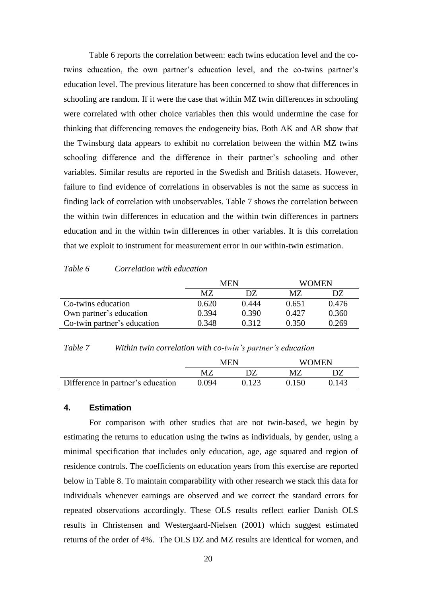Table 6 reports the correlation between: each twins education level and the cotwins education, the own partner's education level, and the co-twins partner's education level. The previous literature has been concerned to show that differences in schooling are random. If it were the case that within MZ twin differences in schooling were correlated with other choice variables then this would undermine the case for thinking that differencing removes the endogeneity bias. Both AK and AR show that the Twinsburg data appears to exhibit no correlation between the within MZ twins schooling difference and the difference in their partner's schooling and other variables. Similar results are reported in the Swedish and British datasets. However, failure to find evidence of correlations in observables is not the same as success in finding lack of correlation with unobservables. Table 7 shows the correlation between the within twin differences in education and the within twin differences in partners education and in the within twin differences in other variables. It is this correlation that we exploit to instrument for measurement error in our within-twin estimation.

#### *Table 6 Correlation with education*

|                             | <b>MEN</b> |       | <b>WOMEN</b> |       |  |
|-----------------------------|------------|-------|--------------|-------|--|
|                             | MZ         | D7    | MZ           | DZ    |  |
| Co-twins education          | 0.620      | 0.444 | 0.651        | 0.476 |  |
| Own partner's education     | 0.394      | 0.390 | 0.427        | 0.360 |  |
| Co-twin partner's education | 0.348      | 0.312 | 0.350        | 0.269 |  |

#### *Table 7 Within twin correlation with co-twin's partner's education*

|                                   | MEN   |       | WOMEN  |       |  |
|-----------------------------------|-------|-------|--------|-------|--|
|                                   | M7    |       |        |       |  |
| Difference in partner's education | ).094 | 0.123 | (1150) | 0.143 |  |

#### **4. Estimation**

For comparison with other studies that are not twin-based, we begin by estimating the returns to education using the twins as individuals, by gender, using a minimal specification that includes only education, age, age squared and region of residence controls. The coefficients on education years from this exercise are reported below in Table 8. To maintain comparability with other research we stack this data for individuals whenever earnings are observed and we correct the standard errors for repeated observations accordingly. These OLS results reflect earlier Danish OLS results in Christensen and Westergaard-Nielsen (2001) which suggest estimated returns of the order of 4%. The OLS DZ and MZ results are identical for women, and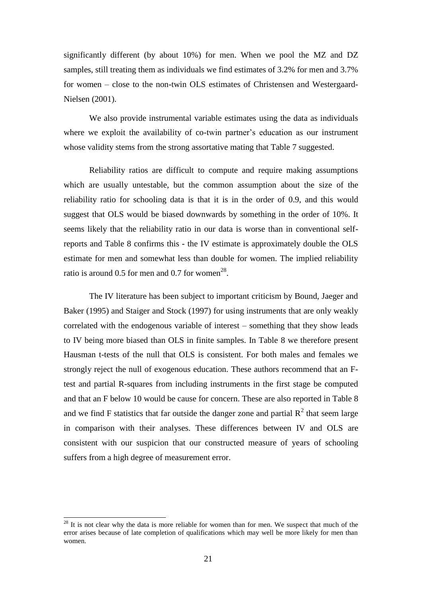significantly different (by about 10%) for men. When we pool the MZ and DZ samples, still treating them as individuals we find estimates of 3.2% for men and 3.7% for women – close to the non-twin OLS estimates of Christensen and Westergaard-Nielsen (2001).

We also provide instrumental variable estimates using the data as individuals where we exploit the availability of co-twin partner's education as our instrument whose validity stems from the strong assortative mating that Table 7 suggested.

Reliability ratios are difficult to compute and require making assumptions which are usually untestable, but the common assumption about the size of the reliability ratio for schooling data is that it is in the order of 0.9, and this would suggest that OLS would be biased downwards by something in the order of 10%. It seems likely that the reliability ratio in our data is worse than in conventional selfreports and Table 8 confirms this - the IV estimate is approximately double the OLS estimate for men and somewhat less than double for women. The implied reliability ratio is around 0.5 for men and 0.7 for women<sup>28</sup>.

The IV literature has been subject to important criticism by Bound, Jaeger and Baker (1995) and Staiger and Stock (1997) for using instruments that are only weakly correlated with the endogenous variable of interest – something that they show leads to IV being more biased than OLS in finite samples. In Table 8 we therefore present Hausman t-tests of the null that OLS is consistent. For both males and females we strongly reject the null of exogenous education. These authors recommend that an Ftest and partial R-squares from including instruments in the first stage be computed and that an F below 10 would be cause for concern. These are also reported in Table 8 and we find F statistics that far outside the danger zone and partial  $R^2$  that seem large in comparison with their analyses. These differences between IV and OLS are consistent with our suspicion that our constructed measure of years of schooling suffers from a high degree of measurement error.

 $2<sup>28</sup>$  It is not clear why the data is more reliable for women than for men. We suspect that much of the error arises because of late completion of qualifications which may well be more likely for men than women.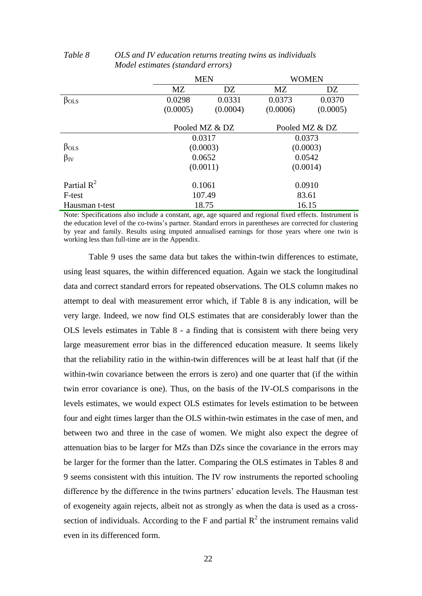|                        | <b>MEN</b> |                | <b>WOMEN</b>   |          |  |
|------------------------|------------|----------------|----------------|----------|--|
|                        | MZ<br>DZ   |                | MZ             | DZ       |  |
| $\beta_{OLS}$          | 0.0298     | 0.0331         | 0.0373         | 0.0370   |  |
|                        | (0.0005)   | (0.0004)       | (0.0006)       | (0.0005) |  |
|                        |            |                |                |          |  |
|                        |            | Pooled MZ & DZ | Pooled MZ & DZ |          |  |
|                        | 0.0317     |                | 0.0373         |          |  |
| $\beta_{OLS}$          |            | (0.0003)       | (0.0003)       |          |  |
| $\beta_{IV}$           | 0.0652     |                | 0.0542         |          |  |
|                        | (0.0011)   |                | (0.0014)       |          |  |
| Partial $\mathbb{R}^2$ | 0.1061     |                | 0.0910         |          |  |
| F-test                 | 107.49     |                | 83.61          |          |  |
| Hausman t-test         |            | 18.75          | 16.15          |          |  |

## *Table 8 OLS and IV education returns treating twins as individuals Model estimates (standard errors)*

Note: Specifications also include a constant, age, age squared and regional fixed effects. Instrument is the education level of the co-twins's partner. Standard errors in parentheses are corrected for clustering by year and family. Results using imputed annualised earnings for those years where one twin is working less than full-time are in the Appendix.

Table 9 uses the same data but takes the within-twin differences to estimate, using least squares, the within differenced equation. Again we stack the longitudinal data and correct standard errors for repeated observations. The OLS column makes no attempt to deal with measurement error which, if Table 8 is any indication, will be very large. Indeed, we now find OLS estimates that are considerably lower than the OLS levels estimates in Table 8 - a finding that is consistent with there being very large measurement error bias in the differenced education measure. It seems likely that the reliability ratio in the within-twin differences will be at least half that (if the within-twin covariance between the errors is zero) and one quarter that (if the within twin error covariance is one). Thus, on the basis of the IV-OLS comparisons in the levels estimates, we would expect OLS estimates for levels estimation to be between four and eight times larger than the OLS within-twin estimates in the case of men, and between two and three in the case of women. We might also expect the degree of attenuation bias to be larger for MZs than DZs since the covariance in the errors may be larger for the former than the latter. Comparing the OLS estimates in Tables 8 and 9 seems consistent with this intuition. The IV row instruments the reported schooling difference by the difference in the twins partners' education levels. The Hausman test of exogeneity again rejects, albeit not as strongly as when the data is used as a crosssection of individuals. According to the F and partial  $R^2$  the instrument remains valid even in its differenced form.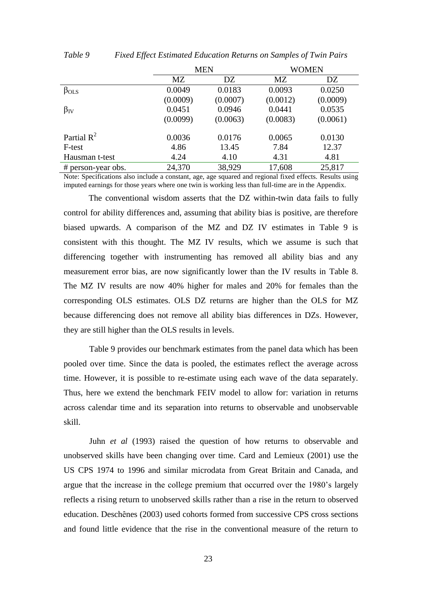|                    | <b>MEN</b> |          |          | <b>WOMEN</b> |
|--------------------|------------|----------|----------|--------------|
|                    | MZ<br>DZ   |          | MZ       | DZ           |
| $\beta_{OLS}$      | 0.0049     | 0.0183   | 0.0093   | 0.0250       |
|                    | (0.0009)   | (0.0007) | (0.0012) | (0.0009)     |
| $\beta_{\rm IV}$   | 0.0451     | 0.0946   | 0.0441   | 0.0535       |
|                    | (0.0099)   | (0.0063) | (0.0083) | (0.0061)     |
| Partial $R^2$      | 0.0036     | 0.0176   | 0.0065   | 0.0130       |
| F-test             | 4.86       | 13.45    | 7.84     | 12.37        |
| Hausman t-test     | 4.24       | 4.10     | 4.31     | 4.81         |
| # person-year obs. | 24,370     | 38,929   | 17,608   | 25,817       |

*Table 9 Fixed Effect Estimated Education Returns on Samples of Twin Pairs*

Note: Specifications also include a constant, age, age squared and regional fixed effects. Results using imputed earnings for those years where one twin is working less than full-time are in the Appendix.

The conventional wisdom asserts that the DZ within-twin data fails to fully control for ability differences and, assuming that ability bias is positive, are therefore biased upwards. A comparison of the MZ and DZ IV estimates in Table 9 is consistent with this thought. The MZ IV results, which we assume is such that differencing together with instrumenting has removed all ability bias and any measurement error bias, are now significantly lower than the IV results in Table 8. The MZ IV results are now 40% higher for males and 20% for females than the corresponding OLS estimates. OLS DZ returns are higher than the OLS for MZ because differencing does not remove all ability bias differences in DZs. However, they are still higher than the OLS results in levels.

Table 9 provides our benchmark estimates from the panel data which has been pooled over time. Since the data is pooled, the estimates reflect the average across time. However, it is possible to re-estimate using each wave of the data separately. Thus, here we extend the benchmark FEIV model to allow for: variation in returns across calendar time and its separation into returns to observable and unobservable skill.

Juhn *et al* (1993) raised the question of how returns to observable and unobserved skills have been changing over time. Card and Lemieux (2001) use the US CPS 1974 to 1996 and similar microdata from Great Britain and Canada, and argue that the increase in the college premium that occurred over the 1980's largely reflects a rising return to unobserved skills rather than a rise in the return to observed education. Deschênes (2003) used cohorts formed from successive CPS cross sections and found little evidence that the rise in the conventional measure of the return to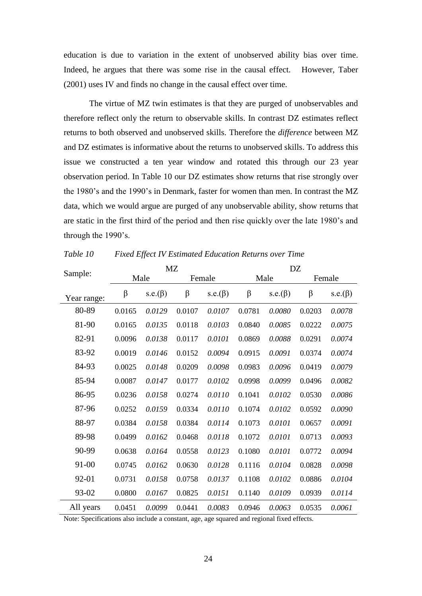education is due to variation in the extent of unobserved ability bias over time. Indeed, he argues that there was some rise in the causal effect. However, Taber (2001) uses IV and finds no change in the causal effect over time.

The virtue of MZ twin estimates is that they are purged of unobservables and therefore reflect only the return to observable skills. In contrast DZ estimates reflect returns to both observed and unobserved skills. Therefore the *difference* between MZ and DZ estimates is informative about the returns to unobserved skills. To address this issue we constructed a ten year window and rotated this through our 23 year observation period. In Table 10 our DZ estimates show returns that rise strongly over the 1980's and the 1990's in Denmark, faster for women than men. In contrast the MZ data, which we would argue are purged of any unobservable ability, show returns that are static in the first third of the period and then rise quickly over the late 1980's and through the 1990's.

|             | <b>MZ</b> |                |        |                | DZ     |                |        |                |
|-------------|-----------|----------------|--------|----------------|--------|----------------|--------|----------------|
| Sample:     |           | Male           |        | Female         |        | Male           | Female |                |
| Year range: | $\beta$   | s.e. $(\beta)$ | β      | s.e. $(\beta)$ | β      | s.e. $(\beta)$ | β      | s.e. $(\beta)$ |
| 80-89       | 0.0165    | 0.0129         | 0.0107 | 0.0107         | 0.0781 | 0.0080         | 0.0203 | 0.0078         |
| 81-90       | 0.0165    | 0.0135         | 0.0118 | 0.0103         | 0.0840 | 0.0085         | 0.0222 | 0.0075         |
| 82-91       | 0.0096    | 0.0138         | 0.0117 | 0.0101         | 0.0869 | 0.0088         | 0.0291 | 0.0074         |
| 83-92       | 0.0019    | 0.0146         | 0.0152 | 0.0094         | 0.0915 | 0.0091         | 0.0374 | 0.0074         |
| 84-93       | 0.0025    | 0.0148         | 0.0209 | 0.0098         | 0.0983 | 0.0096         | 0.0419 | 0.0079         |
| 85-94       | 0.0087    | 0.0147         | 0.0177 | 0.0102         | 0.0998 | 0.0099         | 0.0496 | 0.0082         |
| 86-95       | 0.0236    | 0.0158         | 0.0274 | 0.0110         | 0.1041 | 0.0102         | 0.0530 | 0.0086         |
| 87-96       | 0.0252    | 0.0159         | 0.0334 | 0.0110         | 0.1074 | 0.0102         | 0.0592 | 0.0090         |
| 88-97       | 0.0384    | 0.0158         | 0.0384 | 0.0114         | 0.1073 | 0.0101         | 0.0657 | 0.0091         |
| 89-98       | 0.0499    | 0.0162         | 0.0468 | 0.0118         | 0.1072 | 0.0101         | 0.0713 | 0.0093         |
| 90-99       | 0.0638    | 0.0164         | 0.0558 | 0.0123         | 0.1080 | 0.0101         | 0.0772 | 0.0094         |
| 91-00       | 0.0745    | 0.0162         | 0.0630 | 0.0128         | 0.1116 | 0.0104         | 0.0828 | 0.0098         |
| 92-01       | 0.0731    | 0.0158         | 0.0758 | 0.0137         | 0.1108 | 0.0102         | 0.0886 | 0.0104         |
| 93-02       | 0.0800    | 0.0167         | 0.0825 | 0.0151         | 0.1140 | 0.0109         | 0.0939 | 0.0114         |
| All years   | 0.0451    | 0.0099         | 0.0441 | 0.0083         | 0.0946 | 0.0063         | 0.0535 | 0.0061         |

*Table 10 Fixed Effect IV Estimated Education Returns over Time*

Note: Specifications also include a constant, age, age squared and regional fixed effects.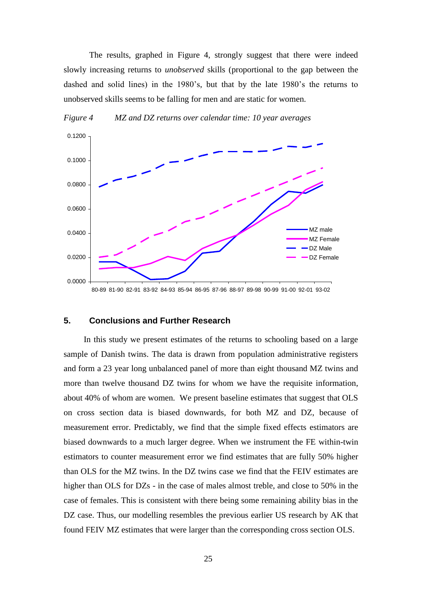The results, graphed in Figure 4, strongly suggest that there were indeed slowly increasing returns to *unobserved* skills (proportional to the gap between the dashed and solid lines) in the 1980's, but that by the late 1980's the returns to unobserved skills seems to be falling for men and are static for women.



*Figure 4 MZ and DZ returns over calendar time: 10 year averages*

#### **5. Conclusions and Further Research**

In this study we present estimates of the returns to schooling based on a large sample of Danish twins. The data is drawn from population administrative registers and form a 23 year long unbalanced panel of more than eight thousand MZ twins and more than twelve thousand DZ twins for whom we have the requisite information, about 40% of whom are women. We present baseline estimates that suggest that OLS on cross section data is biased downwards, for both MZ and DZ, because of measurement error. Predictably, we find that the simple fixed effects estimators are biased downwards to a much larger degree. When we instrument the FE within-twin estimators to counter measurement error we find estimates that are fully 50% higher than OLS for the MZ twins. In the DZ twins case we find that the FEIV estimates are higher than OLS for DZs - in the case of males almost treble, and close to 50% in the case of females. This is consistent with there being some remaining ability bias in the DZ case. Thus, our modelling resembles the previous earlier US research by AK that found FEIV MZ estimates that were larger than the corresponding cross section OLS.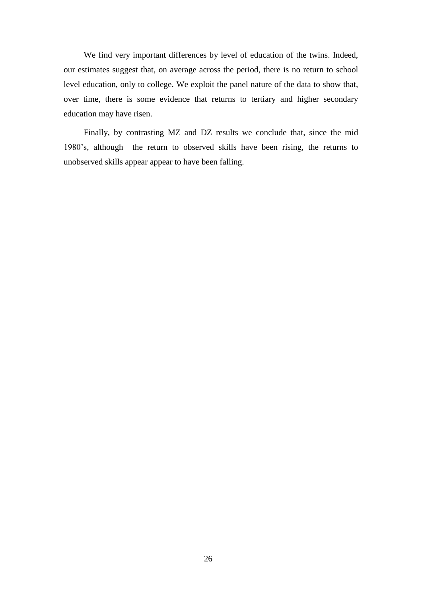We find very important differences by level of education of the twins. Indeed, our estimates suggest that, on average across the period, there is no return to school level education, only to college. We exploit the panel nature of the data to show that, over time, there is some evidence that returns to tertiary and higher secondary education may have risen.

Finally, by contrasting MZ and DZ results we conclude that, since the mid 1980's, although the return to observed skills have been rising, the returns to unobserved skills appear appear to have been falling.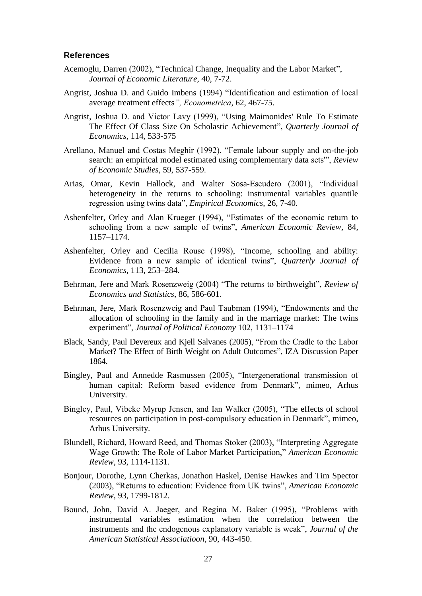#### **References**

- Acemoglu, Darren (2002), "Technical Change, Inequality and the Labor Market", *Journal of Economic Literature*, 40, 7-72.
- Angrist, Joshua D. and Guido Imbens (1994) "Identification and estimation of local average treatment effects*", Econometrica*, 62, 467-75.
- Angrist, Joshua D. and Victor Lavy (1999), "Using Maimonides' Rule To Estimate The Effect Of Class Size On Scholastic Achievement", *Quarterly Journal of Economics*, 114, 533-575
- Arellano, Manuel and Costas Meghir (1992), "Female labour supply and on-the-job search: an empirical model estimated using complementary data sets'", *Review of Economic Studies,* 59, 537-559.
- Arias, Omar, Kevin Hallock, and Walter Sosa-Escudero (2001), "Individual heterogeneity in the returns to schooling: instrumental variables quantile regression using twins data", *Empirical Economics,* 26, 7-40.
- Ashenfelter, Orley and Alan Krueger (1994), "Estimates of the economic return to schooling from a new sample of twins", *American Economic Review,* 84, 1157–1174.
- Ashenfelter, Orley and Cecilia Rouse (1998), "Income, schooling and ability: Evidence from a new sample of identical twins", *Quarterly Journal of Economics,* 113, 253–284.
- Behrman, Jere and Mark Rosenzweig (2004) "The returns to birthweight", *Review of Economics and Statistics*, 86, 586-601.
- [Behrman,](http://www.sciencedirect.com/science/article/B6VB9-3W06TFJ-3/2/f957cad57dede405e983952929ac12e5#bb7#bb7) Jere, Mark Rosenzweig and Paul Taubman (1994), "Endowments and the allocation of schooling in the family and in the marriage market: The twins experiment", *Journal of Political Economy* 102, 1131–1174
- Black, Sandy, Paul Devereux and Kjell Salvanes (2005), "From the Cradle to the Labor Market? The Effect of Birth Weight on Adult Outcomes", IZA Discussion Paper 1864.
- Bingley, Paul and Annedde Rasmussen (2005), "Intergenerational transmission of human capital: Reform based evidence from Denmark", mimeo, Arhus University.
- Bingley, Paul, Vibeke Myrup Jensen, and Ian Walker (2005), "The effects of school resources on participation in post-compulsory education in Denmark", mimeo, Arhus University.
- Blundell, Richard, Howard Reed, and Thomas Stoker (2003), "Interpreting Aggregate Wage Growth: The Role of Labor Market Participation," *American Economic Review*, 93, 1114-1131.
- Bonjour, Dorothe, Lynn Cherkas, Jonathon Haskel, Denise Hawkes and Tim Spector (2003), "Returns to education: Evidence from UK twins", *American Economic Review*, 93, 1799-1812.
- Bound, John, David A. Jaeger, and Regina M. Baker (1995), "Problems with instrumental variables estimation when the correlation between the instruments and the endogenous explanatory variable is weak", *Journal of the American Statistical Associatioon*, 90, 443-450.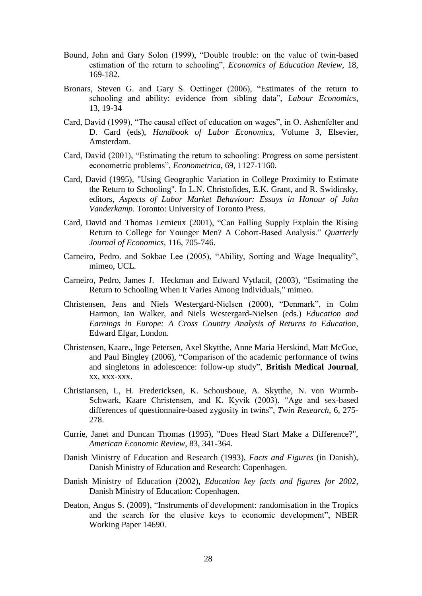- Bound, John and Gary Solon (1999), "Double trouble: on the value of twin-based estimation of the return to schooling", *Economics of Education Review*, 18, 169-182.
- Bronars, Steven G. and Gary S. Oettinger (2006), "Estimates of the return to schooling and ability: evidence from sibling data", *Labour Economics*, 13, 19-34
- Card, David (1999), "The causal effect of education on wages", in O. Ashenfelter and D. Card (eds), *Handbook of Labor Economics,* Volume 3, Elsevier, Amsterdam.
- Card, David (2001), "Estimating the return to schooling: Progress on some persistent econometric problems", *Econometrica*, 69, 1127-1160.
- Card, David (1995), "Using Geographic Variation in College Proximity to Estimate the Return to Schooling". In L.N. Christofides, E.K. Grant, and R. Swidinsky, editors, *Aspects of Labor Market Behaviour: Essays in Honour of John Vanderkamp*. Toronto: University of Toronto Press.
- Card, David and Thomas Lemieux (2001), "Can Falling Supply Explain the Rising Return to College for Younger Men? A Cohort-Based Analysis." *Quarterly Journal of Economics,* 116, 705-746.
- Carneiro, Pedro. and Sokbae Lee (2005), "Ability, Sorting and Wage Inequality", mimeo, UCL.
- Carneiro, Pedro, James J. Heckman and Edward Vytlacil, (2003), "Estimating the Return to Schooling When It Varies Among Individuals," mimeo.
- Christensen, Jens and Niels Westergard-Nielsen (2000), "Denmark", in Colm Harmon, Ian Walker, and Niels Westergard-Nielsen (eds.) *Education and Earnings in Europe: A Cross Country Analysis of Returns to Education*, Edward Elgar, London.
- Christensen, Kaare., Inge Petersen, Axel Skytthe, Anne Maria Herskind, Matt McGue, and Paul Bingley (2006), "Comparison of the academic performance of twins and singletons in adolescence: follow-up study", **British Medical Journal**, xx, xxx-xxx.
- Christiansen, L, H. Fredericksen, K. Schousboue, A. Skytthe, N. von Wurmb-Schwark, Kaare Christensen, and K. Kyvik (2003), "Age and sex-based differences of questionnaire-based zygosity in twins", *Twin Research*, 6, 275- 278.
- Currie, Janet and Duncan Thomas (1995), "Does Head Start Make a Difference?", *American Economic Review*, 83, 341-364.
- Danish Ministry of Education and Research (1993), *Facts and Figures* (in Danish), Danish Ministry of Education and Research: Copenhagen.
- Danish Ministry of Education (2002), *Education key facts and figures for 2002*, Danish Ministry of Education: Copenhagen.
- Deaton, Angus S. (2009), "Instruments of development: randomisation in the Tropics and the search for the elusive keys to economic development", NBER Working Paper 14690.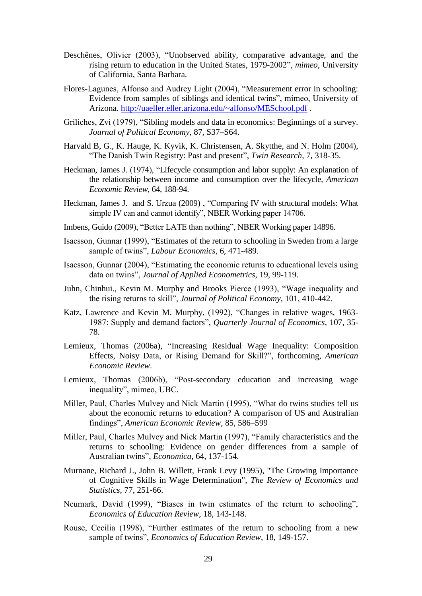- Deschênes, Olivier (2003), "Unobserved ability, comparative advantage, and the rising return to education in the United States, 1979-2002", *mimeo,* University of California, Santa Barbara.
- Flores-Lagunes, Alfonso and Audrey Light (2004), "Measurement error in schooling: Evidence from samples of siblings and identical twins", mimeo, University of Arizona.<http://uaeller.eller.arizona.edu/~alfonso/MESchool.pdf>.
- Griliches, Zvi (1979), "Sibling models and data in economics: Beginnings of a survey. *Journal of Political Economy,* 87, S37–S64.
- Harvald B, G., K. Hauge, K. Kyvik, K. Christensen, A. Skytthe, and N. Holm (2004), "The Danish Twin Registry: Past and present", *Twin Research*, 7, 318-35.
- Heckman, James J. (1974), "Lifecycle consumption and labor supply: An explanation of the relationship between income and consumption over the lifecycle, *American Economic Review*, 64, 188-94.
- Heckman, James J. and S. Urzua (2009) , "Comparing IV with structural models: What simple IV can and cannot identify", NBER Working paper 14706.
- Imbens, Guido (2009), "Better LATE than nothing", NBER Working paper 14896.
- Isacsson, Gunnar (1999), "Estimates of the return to schooling in Sweden from a large sample of twins", *Labour Economics*, 6, 471-489.
- Isacsson, Gunnar (2004), "Estimating the economic returns to educational levels using data on twins", *Journal of Applied Econometrics*, 19, 99-119.
- Juhn, Chinhui., Kevin M. Murphy and Brooks Pierce (1993), "Wage inequality and the rising returns to skill", *Journal of Political Economy*, 101, 410-442.
- Katz, Lawrence and Kevin M. Murphy, (1992), "Changes in relative wages, 1963- 1987: Supply and demand factors", *Quarterly Journal of Economics*, 107, 35- 78.
- Lemieux, Thomas (2006a), "Increasing Residual Wage Inequality: Composition Effects, Noisy Data, or Rising Demand for Skill?", forthcoming, *American Economic Review*.
- Lemieux, Thomas (2006b), "Post-secondary education and increasing wage inequality", mimeo, UBC.
- Miller, Paul, Charles Mulvey and Nick Martin (1995), "What do twins studies tell us about the economic returns to education? A comparison of US and Australian findings", *American Economic Review*, 85, 586–599
- Miller, Paul, Charles Mulvey and Nick Martin (1997), "Family characteristics and the returns to schooling: Evidence on gender differences from a sample of Australian twins", *Economica*, 64, 137-154.
- Murnane, Richard J., John B. Willett, Frank Levy (1995), ["The Growing Importance](http://ideas.repec.org/a/tpr/restat/v77y1995i2p251-66.html)  [of Cognitive Skills in Wage Determination"](http://ideas.repec.org/a/tpr/restat/v77y1995i2p251-66.html), *[The Review of Economics and](http://ideas.repec.org/s/tpr/restat.html)  [Statistics,](http://ideas.repec.org/s/tpr/restat.html)* 77, 251-66.
- Neumark, David (1999), "Biases in twin estimates of the return to schooling", *Economics of Education Review*, 18, 143-148.
- Rouse, Cecilia (1998), "Further estimates of the return to schooling from a new sample of twins", *Economics of Education Review*, 18, 149-157.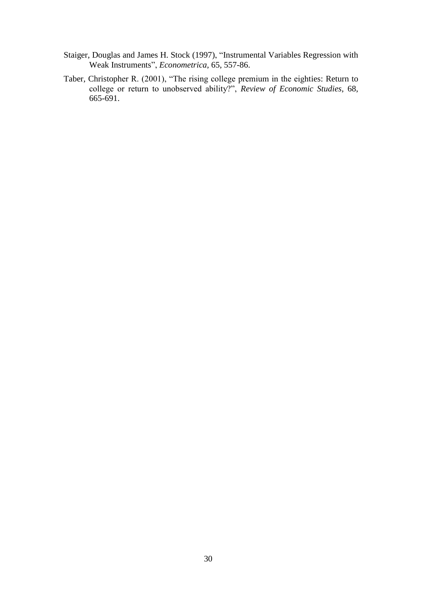- Staiger, Douglas and James H. Stock (1997), "Instrumental Variables Regression with Weak Instruments", *Econometrica*, 65, 557-86.
- Taber, Christopher R. (2001), "The rising college premium in the eighties: Return to college or return to unobserved ability?", *Review of Economic Studies*, 68, 665-691.